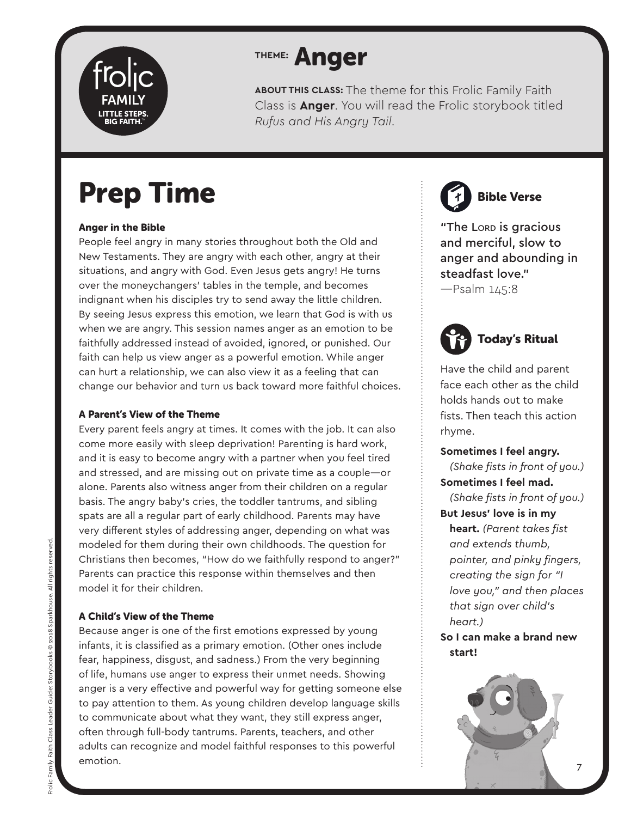

## **THEME:** Anger

**ABOUT THIS CLASS:** The theme for this Frolic Family Faith Class is **Anger**. You will read the Frolic storybook titled *Rufus and His Angry Tail*.

# Prep Time

### Anger in the Bible

People feel angry in many stories throughout both the Old and New Testaments. They are angry with each other, angry at their situations, and angry with God. Even Jesus gets angry! He turns over the moneychangers' tables in the temple, and becomes indignant when his disciples try to send away the little children. By seeing Jesus express this emotion, we learn that God is with us when we are angry. This session names anger as an emotion to be faithfully addressed instead of avoided, ignored, or punished. Our faith can help us view anger as a powerful emotion. While anger can hurt a relationship, we can also view it as a feeling that can change our behavior and turn us back toward more faithful choices.

### A Parent's View of the Theme

Every parent feels angry at times. It comes with the job. It can also come more easily with sleep deprivation! Parenting is hard work, and it is easy to become angry with a partner when you feel tired and stressed, and are missing out on private time as a couple—or alone. Parents also witness anger from their children on a regular basis. The angry baby's cries, the toddler tantrums, and sibling spats are all a regular part of early childhood. Parents may have very different styles of addressing anger, depending on what was modeled for them during their own childhoods. The question for Christians then becomes, "How do we faithfully respond to anger?" Parents can practice this response within themselves and then model it for their children.

### A Child's View of the Theme

Because anger is one of the first emotions expressed by young infants, it is classified as a primary emotion. (Other ones include fear, happiness, disgust, and sadness.) From the very beginning of life, humans use anger to express their unmet needs. Showing anger is a very effective and powerful way for getting someone else to pay attention to them. As young children develop language skills to communicate about what they want, they still express anger, often through full-body tantrums. Parents, teachers, and other adults can recognize and model faithful responses to this powerful emotion.

Bible Verse

"The Lorp is gracious and merciful, slow to anger and abounding in steadfast love." —Psalm 145:8



Have the child and parent face each other as the child holds hands out to make fists. Then teach this action rhyme.

**Sometimes I feel angry.**  *(Shake fists in front of you.)* **Sometimes I feel mad.**  *(Shake fists in front of you.)* **But Jesus' love is in my heart.** *(Parent takes fist and extends thumb, pointer, and pinky fingers, creating the sign for "I love you," and then places that sign over child's heart.)*

**So I can make a brand new start!**

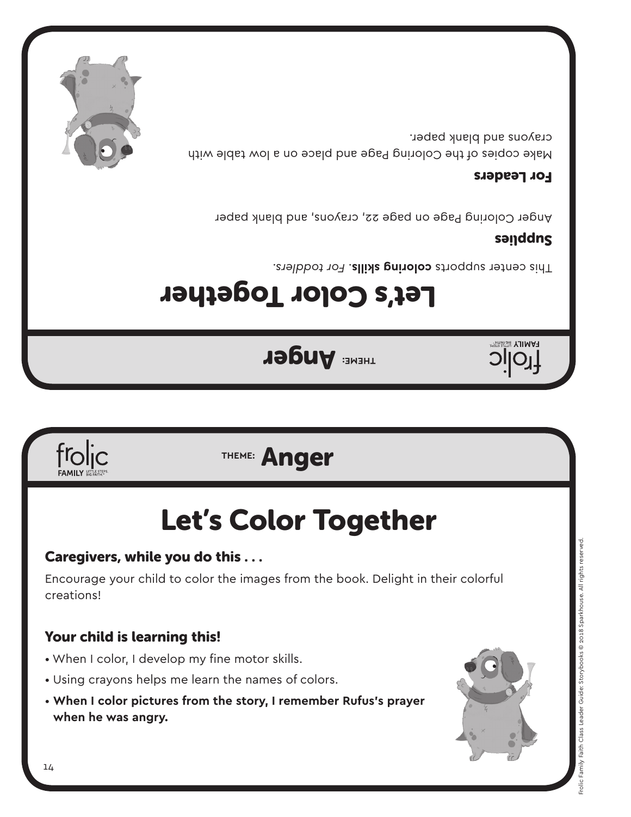### 14

creations!

frolic

- When I color, I develop my fine motor skills.
- Using crayons helps me learn the names of colors.
- **When I color pictures from the story, I remember Rufus's prayer when he was angry.**



# Caregivers, while you do this . . .

# Let's Color Together

Encourage your child to color the images from the book. Delight in their colorful

**THEME:** Anger

## **THEME:** Anger

# Let's Color Together

Fhis center supports **coloring skills**. For toddlers.

## sanddns

**FAMILY BIG FAITHEY** 

Anger Coloring Page on page 22, crayons, and blank paper

### For Leaders

Make copies of the Coloring Page and place on a low table with crayons and blank paper.

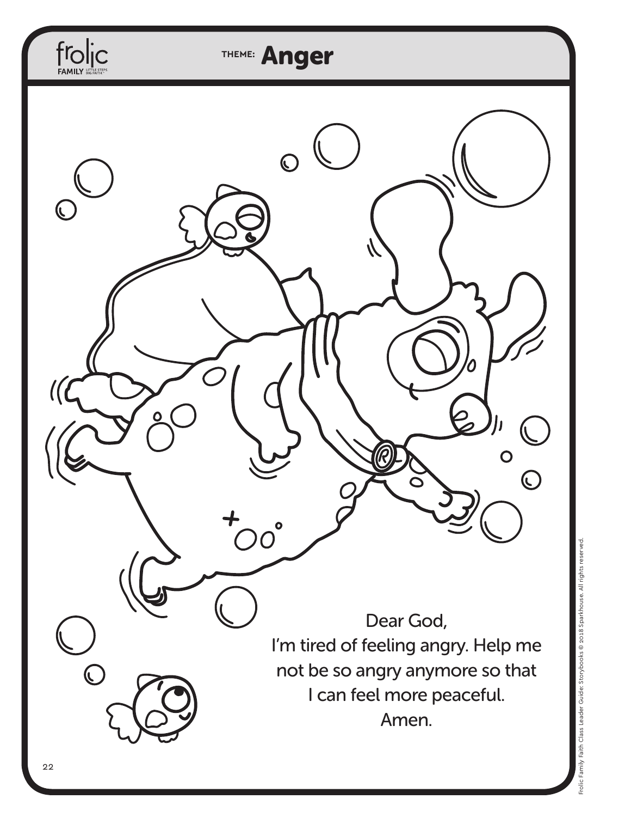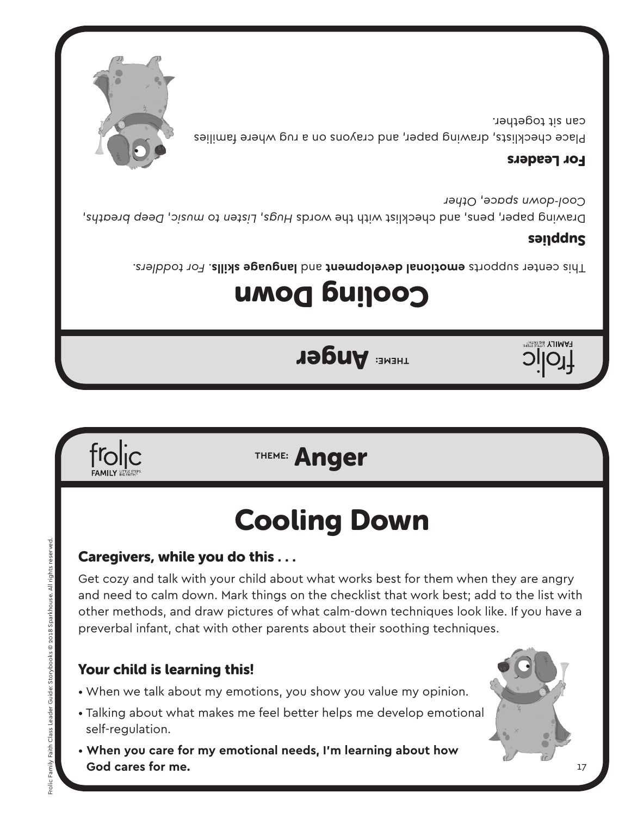froljc

Frolic Family Faith Class Leader Guide: Storybooks © 2018 Sparkhouse. All rights reserved.

rolic Family Faith Class Leader Guide:

Storybooks © 2018 Sparkhouse. All rights rese

## Your child is learning this!

- When we talk about my emotions, you show you value my opinion.
- Talking about what makes me feel better helps me develop emotional self-regulation.
- **When you care for my emotional needs, I'm learning about how God cares for me.**

Caregivers, while you do this . . .

Get cozy and talk with your child about what works best for them when they are angry and need to calm down. Mark things on the checklist that work best; add to the list with other methods, and draw pictures of what calm-down techniques look like. If you have a preverbal infant, chat with other parents about their soothing techniques.

# Cooling Down

## **THEME:** Anger

Cooling Down

**THEME:** Anger

*For toddlers.* . **language skills** and **emotional development** This center supports

## sanddns

Diswing paper, pens, and checklist with the words Hugs, Listen to music, Deep breaths, *Other* , *Cool-down space*

### For Leaders

Place checklists, drawing paper, and crayons on a rug where families can sit together.







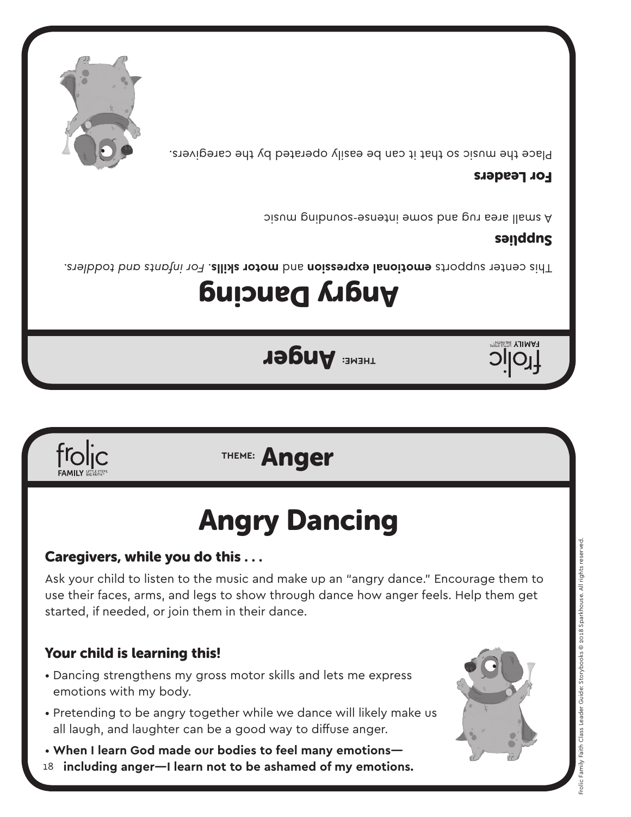

## Your child is learning this!

frolic

- Dancing strengthens my gross motor skills and lets me express emotions with my body.
- Pretending to be angry together while we dance will likely make us all laugh, and laughter can be a good way to diffuse anger.
- **When I learn God made our bodies to feel many emotions—**
- 18  **including anger—I learn not to be ashamed of my emotions.**

## Caregivers, while you do this . . .

Ask your child to listen to the music and make up an "angry dance." Encourage them to use their faces, arms, and legs to show through dance how anger feels. Help them get started, if needed, or join them in their dance.

# Angry Dancing

# **THEME:** Anger

# Angry Dancing

*For infants and toddlers.* . **motor skills** and **emotional expression** This center supports

**THEME:** Anger

### sanddns

**HAMILY BIG FAITH** 

A small area rug and some intense-sounding music

### For Leaders

Place the music so that it can be easily operated by the caregivers.

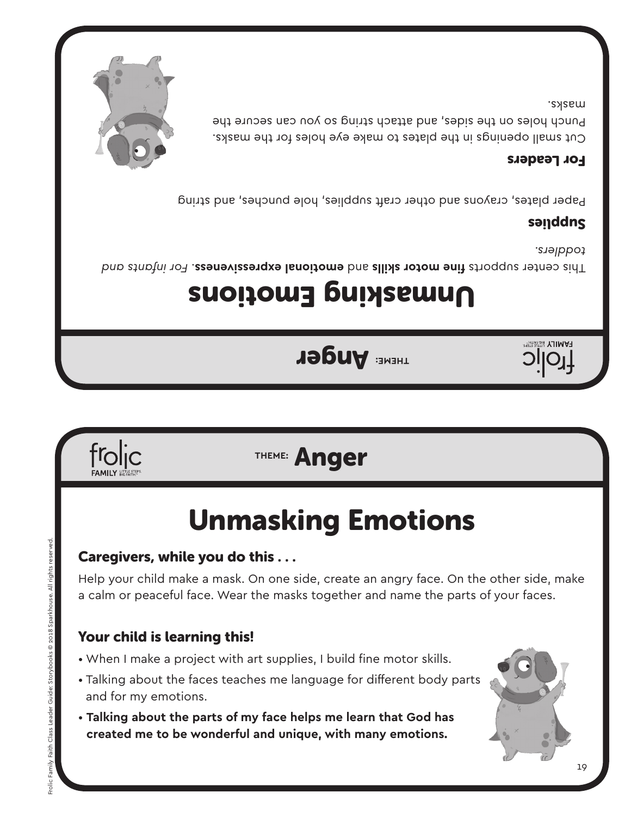## • Talking about the faces teaches me language for different body parts

- and for my emotions.
- **Talking about the parts of my face helps me learn that God has created me to be wonderful and unique, with many emotions.**
- When I make a project with art supplies, I build fine motor skills.
- Your child is learning this!

Caregivers, while you do this . . .

## a calm or peaceful face. Wear the masks together and name the parts of your faces.

Unmasking Emotions

Help your child make a mask. On one side, create an angry face. On the other side, make

# **THEME:** Anger

**THEME:** Anger

# Unmasking Emotions

*For infants fine motor skills* and emotor stails and the motor sequests. For infants and *toddlers.*

## sanddns

Paper plates, crayons and other craft supplies, hole punches, and string

### For Leaders

Cut small openings in the plates to make eye holes for the masks. Punch holes on the sides, and attach string so you can secure the masks.





Frolic Family Faith Class Leader Guide: Storybooks © 2018 Sparkhouse. All rights reserved.

Guide

Frolic Family Faith Class Leader

© 2018 Sparkhouse. All rights rese



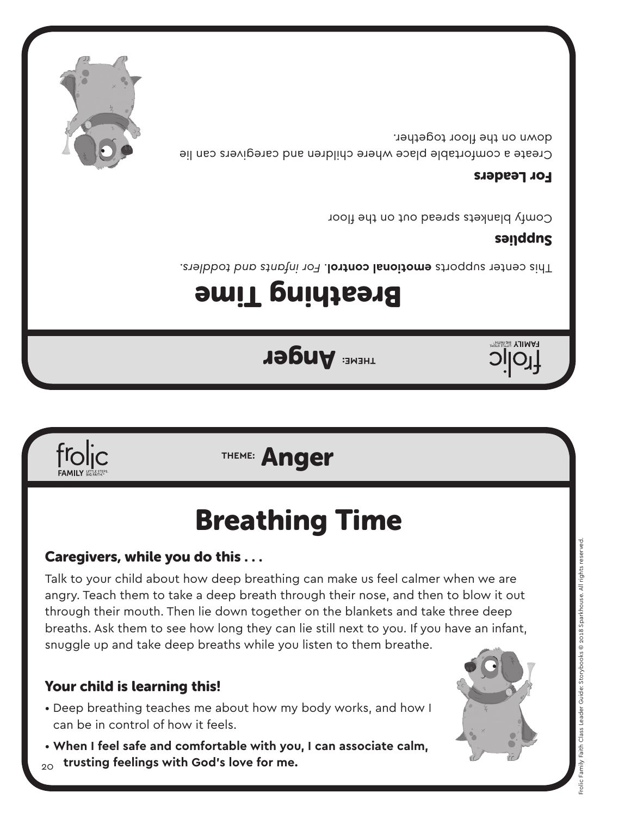- Deep breathing teaches me about how my body works, and how I can be in control of how it feels.
- 20 • **When I feel safe and comfortable with you, I can associate calm, trusting feelings with God's love for me.**

## Your child is learning this!

Talk to your child about how deep breathing can make us feel calmer when we are angry. Teach them to take a deep breath through their nose, and then to blow it out through their mouth. Then lie down together on the blankets and take three deep breaths. Ask them to see how long they can lie still next to you. If you have an infant, snuggle up and take deep breaths while you listen to them breathe.

## Caregivers, while you do this . . .

# Breathing Time

## **THEME:** Anger

# Breathing Time

**THEME:** Anger

*For infants and toddlers.* . **emotional control** This center supports

## sanddns

**HAMILY BIGRATHE** 

Comfy blankets spread out on the floor

### For Leaders

Create a comfortable place where children and caregivers can lie down on the floor together.



frolic